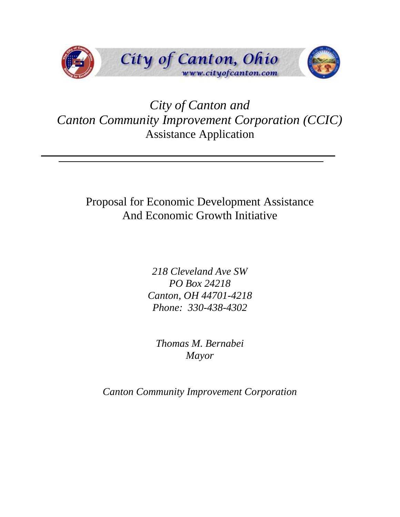

# *City of Canton and Canton Community Improvement Corporation (CCIC)* Assistance Application

# Proposal for Economic Development Assistance And Economic Growth Initiative

*218 Cleveland Ave SW PO Box 24218 Canton, OH 44701-4218 Phone: 330-438-4302*

*Thomas M. Bernabei Mayor*

*Canton Community Improvement Corporation*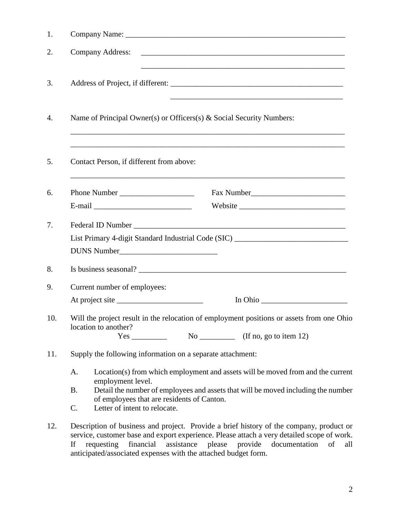| 1.  |                                                                                                                                                                                                                                                                                                                                                           |  |  |  |
|-----|-----------------------------------------------------------------------------------------------------------------------------------------------------------------------------------------------------------------------------------------------------------------------------------------------------------------------------------------------------------|--|--|--|
| 2.  | <b>Company Address:</b><br>and the control of the control of the control of the control of the control of the control of the control of the                                                                                                                                                                                                               |  |  |  |
| 3.  |                                                                                                                                                                                                                                                                                                                                                           |  |  |  |
| 4.  | Name of Principal Owner(s) or Officers(s) & Social Security Numbers:                                                                                                                                                                                                                                                                                      |  |  |  |
| 5.  | Contact Person, if different from above:<br>,我们也不能在这里的时候,我们也不能在这里的时候,我们也不能会在这里的时候,我们也不能会在这里的时候,我们也不能会在这里的时候,我们也不能会在这里的时候,我们也不                                                                                                                                                                                                                             |  |  |  |
| 6.  |                                                                                                                                                                                                                                                                                                                                                           |  |  |  |
|     | $E-mail$                                                                                                                                                                                                                                                                                                                                                  |  |  |  |
| 7.  |                                                                                                                                                                                                                                                                                                                                                           |  |  |  |
|     | List Primary 4-digit Standard Industrial Code (SIC) ____________________________                                                                                                                                                                                                                                                                          |  |  |  |
|     | DUNS Number                                                                                                                                                                                                                                                                                                                                               |  |  |  |
| 8.  |                                                                                                                                                                                                                                                                                                                                                           |  |  |  |
| 9.  | Current number of employees:                                                                                                                                                                                                                                                                                                                              |  |  |  |
|     | At project site                                                                                                                                                                                                                                                                                                                                           |  |  |  |
| 10. | Will the project result in the relocation of employment positions or assets from one Ohio<br>location to another?<br>No _____________ (If no, go to item 12)                                                                                                                                                                                              |  |  |  |
| 11. | Supply the following information on a separate attachment:                                                                                                                                                                                                                                                                                                |  |  |  |
|     | Location(s) from which employment and assets will be moved from and the current<br>A.<br>employment level.<br>B.<br>Detail the number of employees and assets that will be moved including the number<br>of employees that are residents of Canton.<br>Letter of intent to relocate.<br>C.                                                                |  |  |  |
| 12. | Description of business and project. Provide a brief history of the company, product or<br>service, customer base and export experience. Please attach a very detailed scope of work.<br>assistance<br>If<br>requesting<br>financial<br>please<br>provide<br>documentation<br>of<br>all<br>anticipated/associated expenses with the attached budget form. |  |  |  |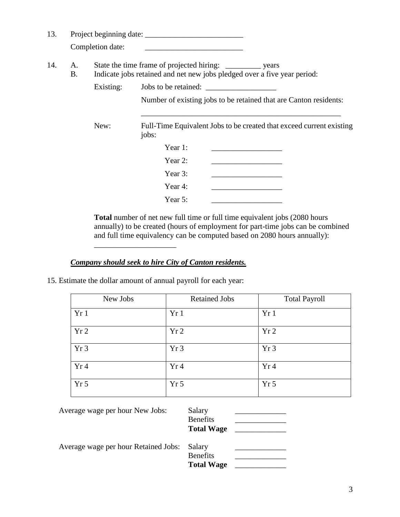| 13. |          |                  | Project beginning date:                                                                                                                  |
|-----|----------|------------------|------------------------------------------------------------------------------------------------------------------------------------------|
|     |          | Completion date: |                                                                                                                                          |
| 14. | A.<br>В. |                  | Indicate jobs retained and net new jobs pledged over a five year period:                                                                 |
|     |          | Existing:        | Jobs to be retained:                                                                                                                     |
|     |          |                  | Number of existing jobs to be retained that are Canton residents:                                                                        |
|     |          |                  |                                                                                                                                          |
|     |          | New:             | Full-Time Equivalent Jobs to be created that exceed current existing<br>jobs:                                                            |
|     |          |                  | Year 1:                                                                                                                                  |
|     |          |                  | Year 2:                                                                                                                                  |
|     |          |                  | Year 3:<br><u> 1989 - Johann John Stone, mars et al. 1989 - John Stone, mars et al. 1989 - John Stone, mars et al. 1989 - John Stone</u> |
|     |          |                  | Year 4:                                                                                                                                  |
|     |          |                  | Year 5:                                                                                                                                  |

**Total** number of net new full time or full time equivalent jobs (2080 hours annually) to be created (hours of employment for part-time jobs can be combined and full time equivalency can be computed based on 2080 hours annually):

## *Company should seek to hire City of Canton residents.*

15. Estimate the dollar amount of annual payroll for each year:

\_\_\_\_\_\_\_\_\_\_\_\_\_\_\_\_\_\_\_\_\_

| New Jobs        | <b>Retained Jobs</b> | <b>Total Payroll</b> |
|-----------------|----------------------|----------------------|
| Yr1             | Yr1                  | Yr1                  |
| Yr <sub>2</sub> | Yr <sub>2</sub>      | Yr2                  |
| Yr <sub>3</sub> | Yr <sub>3</sub>      | Yr <sub>3</sub>      |
| Yr4             | Yr 4                 | Yr4                  |
| Yr <sub>5</sub> | Yr <sub>5</sub>      | Yr <sub>5</sub>      |

| Average wage per hour New Jobs:      | Salary<br><b>Benefits</b><br><b>Total Wage</b> |  |
|--------------------------------------|------------------------------------------------|--|
| Average wage per hour Retained Jobs: | Salary<br><b>Benefits</b><br><b>Total Wage</b> |  |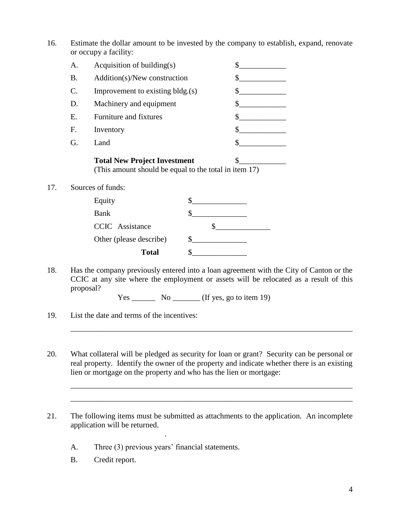16. Estimate the dollar amount to be invested by the company to establish, expand, renovate or occupy a facility:

|           | <b>Total New Project Investment</b> |  |
|-----------|-------------------------------------|--|
| G.        | Land                                |  |
| F.        | Inventory                           |  |
| Ε.        | Furniture and fixtures              |  |
| D.        | Machinery and equipment             |  |
| C.        | Improvement to existing bldg.(s)    |  |
| <b>B.</b> | Addition(s)/New construction        |  |
| A.        | Acquisition of building(s)          |  |

(This amount should be equal to the total in item 17)

17. Sources of funds:

| Equity                  |  |
|-------------------------|--|
| <b>Bank</b>             |  |
| <b>CCIC</b> Assistance  |  |
| Other (please describe) |  |
| <b>Total</b>            |  |

18. Has the company previously entered into a loan agreement with the City of Canton or the CCIC at any site where the employment or assets will be relocated as a result of this proposal?

 $Yes \_\_\_\_\_\$  \ No \\_\\_\\_\\_\ (If yes, go to item 19)

- 19. List the date and terms of the incentives:
- 20. What collateral will be pledged as security for loan or grant? Security can be personal or real property. Identify the owner of the property and indicate whether there is an existing lien or mortgage on the property and who has the lien or mortgage:

\_\_\_\_\_\_\_\_\_\_\_\_\_\_\_\_\_\_\_\_\_\_\_\_\_\_\_\_\_\_\_\_\_\_\_\_\_\_\_\_\_\_\_\_\_\_\_\_\_\_\_\_\_\_\_\_\_\_\_\_\_\_\_\_\_\_\_\_\_\_\_\_

\_\_\_\_\_\_\_\_\_\_\_\_\_\_\_\_\_\_\_\_\_\_\_\_\_\_\_\_\_\_\_\_\_\_\_\_\_\_\_\_\_\_\_\_\_\_\_\_\_\_\_\_\_\_\_\_\_\_\_\_\_\_\_\_\_\_\_\_\_\_\_\_ \_\_\_\_\_\_\_\_\_\_\_\_\_\_\_\_\_\_\_\_\_\_\_\_\_\_\_\_\_\_\_\_\_\_\_\_\_\_\_\_\_\_\_\_\_\_\_\_\_\_\_\_\_\_\_\_\_\_\_\_\_\_\_\_\_\_\_\_\_\_\_\_

- 21. The following items must be submitted as attachments to the application. An incomplete application will be returned.
	- A. Three (3) previous years' financial statements.

.

B. Credit report.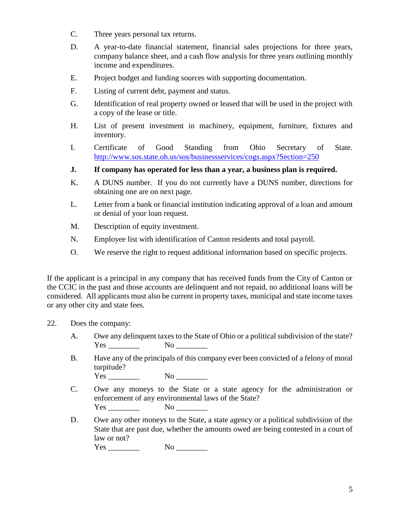- C. Three years personal tax returns.
- D. A year-to-date financial statement, financial sales projections for three years, company balance sheet, and a cash flow analysis for three years outlining monthly income and expenditures.
- E. Project budget and funding sources with supporting documentation.
- F. Listing of current debt, payment and status.
- G. Identification of real property owned or leased that will be used in the project with a copy of the lease or title.
- H. List of present investment in machinery, equipment, furniture, fixtures and inventory.
- I. Certificate of Good Standing from Ohio Secretary of State. <http://www.sos.state.oh.us/sos/businessservices/cogs.aspx?Section=250>
- **J. If company has operated for less than a year, a business plan is required.**
- K. A DUNS number. If you do not currently have a DUNS number, directions for obtaining one are on next page.
- L. Letter from a bank or financial institution indicating approval of a loan and amount or denial of your loan request.
- M. Description of equity investment.
- N. Employee list with identification of Canton residents and total payroll.
- O. We reserve the right to request additional information based on specific projects.

If the applicant is a principal in any company that has received funds from the City of Canton or the CCIC in the past and those accounts are delinquent and not repaid, no additional loans will be considered. All applicants must also be current in property taxes, municipal and state income taxes or any other city and state fees.

- 22. Does the company:
	- A. Owe any delinquent taxes to the State of Ohio or a political subdivision of the state? Yes No No  $\sim$
	- B. Have any of the principals of this company ever been convicted of a felony of moral turpitude?

 $Yes \qquad \qquad No \qquad$ 

- C. Owe any moneys to the State or a state agency for the administration or enforcement of any environmental laws of the State?  $Yes \qquad No \qquad No \qquad$
- D. Owe any other moneys to the State, a state agency or a political subdivision of the State that are past due, whether the amounts owed are being contested in a court of law or not?

Yes \_\_\_\_\_\_\_\_ No \_\_\_\_\_\_\_\_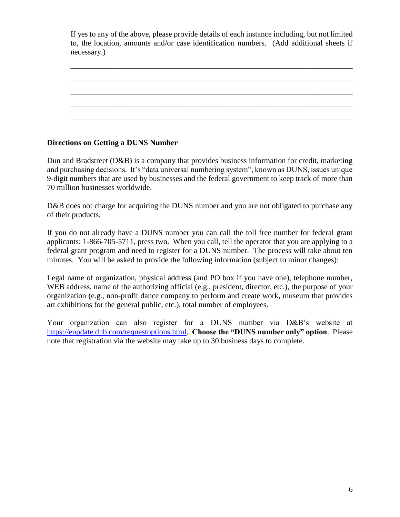If yes to any of the above, please provide details of each instance including, but not limited to, the location, amounts and/or case identification numbers. (Add additional sheets if necessary.)

\_\_\_\_\_\_\_\_\_\_\_\_\_\_\_\_\_\_\_\_\_\_\_\_\_\_\_\_\_\_\_\_\_\_\_\_\_\_\_\_\_\_\_\_\_\_\_\_\_\_\_\_\_\_\_\_\_\_\_\_\_\_\_\_\_\_\_\_\_\_\_\_ \_\_\_\_\_\_\_\_\_\_\_\_\_\_\_\_\_\_\_\_\_\_\_\_\_\_\_\_\_\_\_\_\_\_\_\_\_\_\_\_\_\_\_\_\_\_\_\_\_\_\_\_\_\_\_\_\_\_\_\_\_\_\_\_\_\_\_\_\_\_\_\_ \_\_\_\_\_\_\_\_\_\_\_\_\_\_\_\_\_\_\_\_\_\_\_\_\_\_\_\_\_\_\_\_\_\_\_\_\_\_\_\_\_\_\_\_\_\_\_\_\_\_\_\_\_\_\_\_\_\_\_\_\_\_\_\_\_\_\_\_\_\_\_\_ \_\_\_\_\_\_\_\_\_\_\_\_\_\_\_\_\_\_\_\_\_\_\_\_\_\_\_\_\_\_\_\_\_\_\_\_\_\_\_\_\_\_\_\_\_\_\_\_\_\_\_\_\_\_\_\_\_\_\_\_\_\_\_\_\_\_\_\_\_\_\_\_ \_\_\_\_\_\_\_\_\_\_\_\_\_\_\_\_\_\_\_\_\_\_\_\_\_\_\_\_\_\_\_\_\_\_\_\_\_\_\_\_\_\_\_\_\_\_\_\_\_\_\_\_\_\_\_\_\_\_\_\_\_\_\_\_\_\_\_\_\_\_\_\_

## **Directions on Getting a DUNS Number**

Dun and Bradstreet (D&B) is a company that provides business information for credit, marketing and purchasing decisions. It's "data universal numbering system", known as DUNS, issues unique 9-digit numbers that are used by businesses and the federal government to keep track of more than 70 million businesses worldwide.

D&B does not charge for acquiring the DUNS number and you are not obligated to purchase any of their products.

If you do not already have a DUNS number you can call the toll free number for federal grant applicants: 1-866-705-5711, press two. When you call, tell the operator that you are applying to a federal grant program and need to register for a DUNS number. The process will take about ten minutes. You will be asked to provide the following information (subject to minor changes):

Legal name of organization, physical address (and PO box if you have one), telephone number, WEB address, name of the authorizing official (e.g., president, director, etc.), the purpose of your organization (e.g., non-profit dance company to perform and create work, museum that provides art exhibitions for the general public, etc.), total number of employees.

Your organization can also register for a DUNS number via D&B's website at [https://eupdate.dnb.com/requestoptions.html.](https://eupdate.dnb.com/requestoptions.html) **Choose the "DUNS number only" option**. Please note that registration via the website may take up to 30 business days to complete.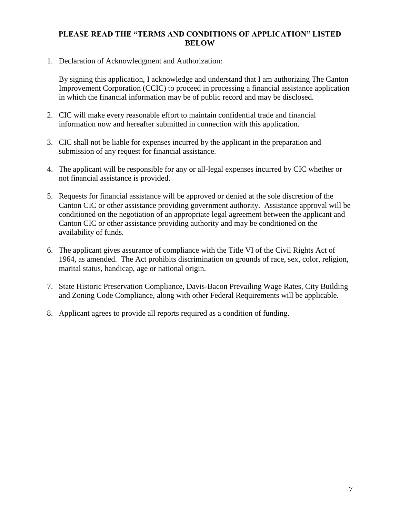### **PLEASE READ THE "TERMS AND CONDITIONS OF APPLICATION" LISTED BELOW**

1. Declaration of Acknowledgment and Authorization:

By signing this application, I acknowledge and understand that I am authorizing The Canton Improvement Corporation (CCIC) to proceed in processing a financial assistance application in which the financial information may be of public record and may be disclosed.

- 2. CIC will make every reasonable effort to maintain confidential trade and financial information now and hereafter submitted in connection with this application.
- 3. CIC shall not be liable for expenses incurred by the applicant in the preparation and submission of any request for financial assistance.
- 4. The applicant will be responsible for any or all-legal expenses incurred by CIC whether or not financial assistance is provided.
- 5. Requests for financial assistance will be approved or denied at the sole discretion of the Canton CIC or other assistance providing government authority. Assistance approval will be conditioned on the negotiation of an appropriate legal agreement between the applicant and Canton CIC or other assistance providing authority and may be conditioned on the availability of funds.
- 6. The applicant gives assurance of compliance with the Title VI of the Civil Rights Act of 1964, as amended. The Act prohibits discrimination on grounds of race, sex, color, religion, marital status, handicap, age or national origin.
- 7. State Historic Preservation Compliance, Davis-Bacon Prevailing Wage Rates, City Building and Zoning Code Compliance, along with other Federal Requirements will be applicable.
- 8. Applicant agrees to provide all reports required as a condition of funding.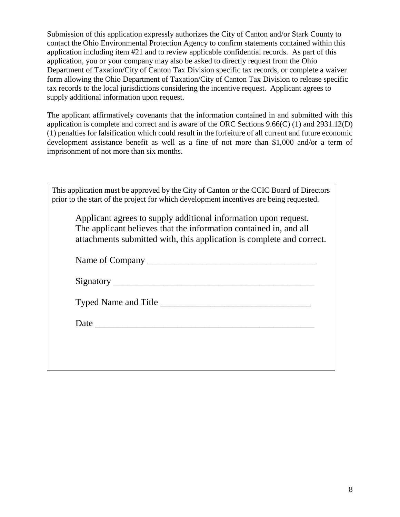Submission of this application expressly authorizes the City of Canton and/or Stark County to contact the Ohio Environmental Protection Agency to confirm statements contained within this application including item #21 and to review applicable confidential records. As part of this application, you or your company may also be asked to directly request from the Ohio Department of Taxation/City of Canton Tax Division specific tax records, or complete a waiver form allowing the Ohio Department of Taxation/City of Canton Tax Division to release specific tax records to the local jurisdictions considering the incentive request. Applicant agrees to supply additional information upon request.

The applicant affirmatively covenants that the information contained in and submitted with this application is complete and correct and is aware of the ORC Sections 9.66(C) (1) and 2931.12(D) (1) penalties for falsification which could result in the forfeiture of all current and future economic development assistance benefit as well as a fine of not more than \$1,000 and/or a term of imprisonment of not more than six months.

| This application must be approved by the City of Canton or the CCIC Board of Directors<br>prior to the start of the project for which development incentives are being requested.                             |
|---------------------------------------------------------------------------------------------------------------------------------------------------------------------------------------------------------------|
| Applicant agrees to supply additional information upon request.<br>The applicant believes that the information contained in, and all<br>attachments submitted with, this application is complete and correct. |
|                                                                                                                                                                                                               |
|                                                                                                                                                                                                               |
|                                                                                                                                                                                                               |
|                                                                                                                                                                                                               |
|                                                                                                                                                                                                               |
|                                                                                                                                                                                                               |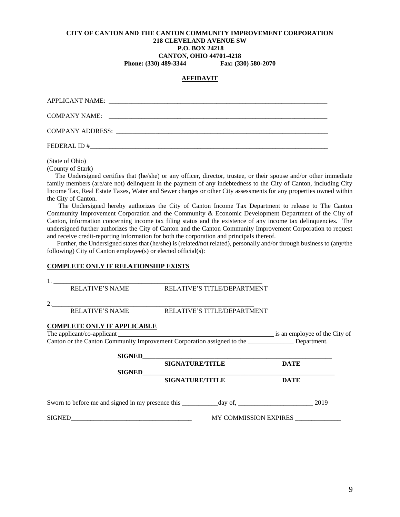### **CITY OF CANTON AND THE CANTON COMMUNITY IMPROVEMENT CORPORATION 218 CLEVELAND AVENUE SW P.O. BOX 24218 CANTON, OHIO 44701-4218 Phone: (330) 489-3344 Fax: (330) 580-2070**

# **AFFIDAVIT**

| COMPANY NAME: |  |
|---------------|--|
|               |  |
| FEDERAL ID#   |  |

(State of Ohio)

(County of Stark)

 The Undersigned certifies that (he/she) or any officer, director, trustee, or their spouse and/or other immediate family members (are/are not) delinquent in the payment of any indebtedness to the City of Canton, including City Income Tax, Real Estate Taxes, Water and Sewer charges or other City assessments for any properties owned within the City of Canton.

 The Undersigned hereby authorizes the City of Canton Income Tax Department to release to The Canton Community Improvement Corporation and the Community & Economic Development Department of the City of Canton, information concerning income tax filing status and the existence of any income tax delinquencies. The undersigned further authorizes the City of Canton and the Canton Community Improvement Corporation to request and receive credit-reporting information for both the corporation and principals thereof.

 Further, the Undersigned states that (he/she) is (related/not related), personally and/or through business to (any/the following) City of Canton employee(s) or elected official(s):

#### **COMPLETE ONLY IF RELATIONSHIP EXISTS**

| <b>RELATIVE'S NAME</b>             | <b>RELATIVE'S TITLE/DEPARTMENT</b>          |                       |  |
|------------------------------------|---------------------------------------------|-----------------------|--|
| 2. $\frac{1}{\sqrt{2\pi}}$         |                                             |                       |  |
|                                    | RELATIVE'S NAME RELATIVE'S TITLE/DEPARTMENT |                       |  |
| <b>COMPLETE ONLY IF APPLICABLE</b> |                                             |                       |  |
|                                    |                                             |                       |  |
|                                    |                                             |                       |  |
|                                    | SIGNED <b>SIGNED</b>                        |                       |  |
|                                    | <b>SIGNATURE/TITLE</b>                      | <b>DATE</b>           |  |
|                                    | SIGNED<br><sub>2</sub>                      |                       |  |
|                                    | <b>SIGNATURE/TITLE</b>                      | <b>DATE</b>           |  |
|                                    |                                             |                       |  |
| <b>SIGNED</b>                      |                                             | MY COMMISSION EXPIRES |  |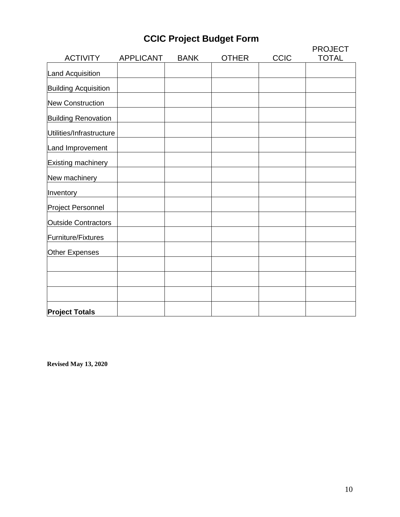# **CCIC Project Budget Form**

| <b>ACTIVITY</b>             | <b>APPLICANT</b> | <b>BANK</b> | <b>OTHER</b> | CCIC | <b>PROJECT</b><br><b>TOTAL</b> |
|-----------------------------|------------------|-------------|--------------|------|--------------------------------|
| Land Acquisition            |                  |             |              |      |                                |
| <b>Building Acquisition</b> |                  |             |              |      |                                |
| <b>New Construction</b>     |                  |             |              |      |                                |
| <b>Building Renovation</b>  |                  |             |              |      |                                |
| Utilities/Infrastructure    |                  |             |              |      |                                |
| Land Improvement            |                  |             |              |      |                                |
| <b>Existing machinery</b>   |                  |             |              |      |                                |
| New machinery               |                  |             |              |      |                                |
| Inventory                   |                  |             |              |      |                                |
| Project Personnel           |                  |             |              |      |                                |
| <b>Outside Contractors</b>  |                  |             |              |      |                                |
| Furniture/Fixtures          |                  |             |              |      |                                |
| Other Expenses              |                  |             |              |      |                                |
|                             |                  |             |              |      |                                |
|                             |                  |             |              |      |                                |
|                             |                  |             |              |      |                                |
| <b>Project Totals</b>       |                  |             |              |      |                                |

**Revised May 13, 2020**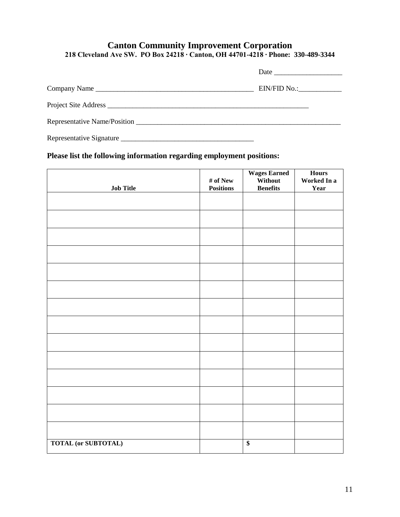# **Canton Community Improvement Corporation 218 Cleveland Ave SW. PO Box 24218 ∙ Canton, OH 44701-4218 ∙ Phone: 330-489-3344**

| Company Name | $EIN/FID No.:\_\_\_\_\_\_\_\_\_\_\_\_\_\_$ |
|--------------|--------------------------------------------|
|              |                                            |
|              |                                            |
|              |                                            |

# **Please list the following information regarding employment positions:**

|                            | $\#$ of New      | <b>Wages Earned</b><br>Without | <b>Hours</b><br>Worked In a |
|----------------------------|------------------|--------------------------------|-----------------------------|
| <b>Job Title</b>           | <b>Positions</b> | <b>Benefits</b>                | Year                        |
|                            |                  |                                |                             |
|                            |                  |                                |                             |
|                            |                  |                                |                             |
|                            |                  |                                |                             |
|                            |                  |                                |                             |
|                            |                  |                                |                             |
|                            |                  |                                |                             |
|                            |                  |                                |                             |
|                            |                  |                                |                             |
|                            |                  |                                |                             |
|                            |                  |                                |                             |
|                            |                  |                                |                             |
|                            |                  |                                |                             |
|                            |                  |                                |                             |
|                            |                  |                                |                             |
| <b>TOTAL (or SUBTOTAL)</b> |                  | $\overline{\$}$                |                             |